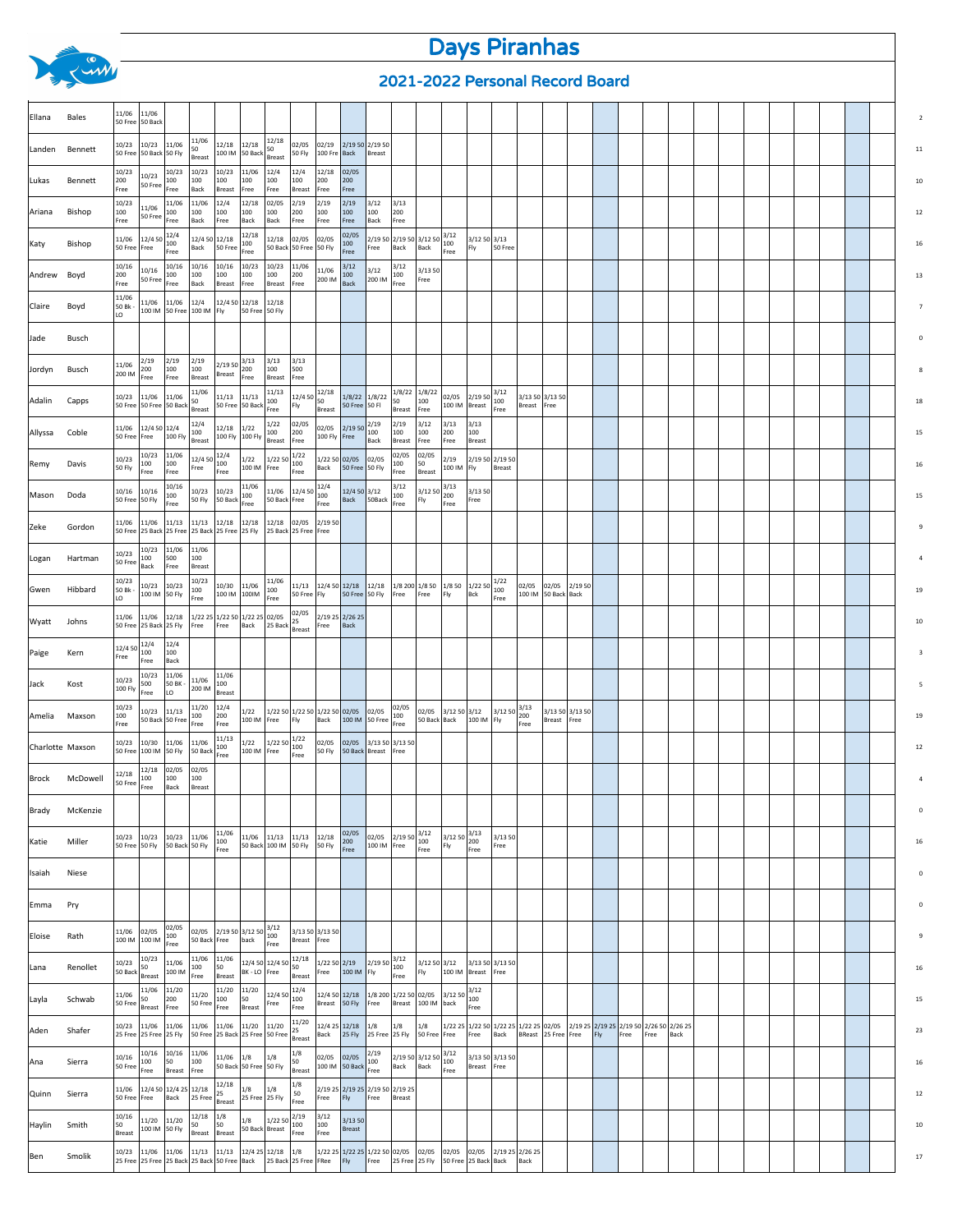## Days Piranhas

## 2021-2022 Personal Record Board

| 11/06<br>11/06<br>Bales<br>Ellana<br>50 Free 50 Back<br>11/06<br>12/18<br>10/23 11/06<br>12/18<br>12/18<br>02/05<br>02/19<br>2/19 50 2/19 50<br>10/23<br>50<br>Landen Bennett<br>50 Free<br>50 Back 50 Fly<br>100 IM 50 Back<br>50 Fly<br>100 Fre<br>Back<br>Breast<br>Breast<br><b>Breast</b><br>10/23<br>10/23<br>10/23<br>10/23<br>11/06<br>12/4<br>12/4<br>12/18<br>02/05<br>10/23<br>200<br>100<br>100<br>100<br>200<br>100<br>100<br>100<br>200<br>Lukas<br>Bennett<br>50 Free<br>Back<br>Free<br>Free<br>Breast<br>Free<br>Free<br>Breast<br>Free<br>Free<br>10/23<br>11/06<br>12/4<br>12/18<br>02/05<br>2/19<br>2/19<br>3/13<br>11/06<br>2/19<br>3/12<br>11/06<br>100<br>100<br>100<br>200<br>100<br>100<br>Bishop<br>100<br>100<br>100<br>100<br>200<br>Ariana<br>50 Free<br>Free<br>Back<br>Free<br>Back<br>Free<br>Back<br>Free<br>Free<br>Back<br>Free<br>Free<br>12/4<br>12/18<br>02/05<br>3/12<br>12/4 50<br>12/4 50 12/18<br>2/19 50 2/19 50 3/12 50<br>11/06<br>12/18<br>02/05<br>02/05<br>$3/12$ 50 3/13<br>100<br>100<br>100<br>100<br>Bishop<br>Katy<br>Back<br>Free<br>Back<br>50 Free<br>50 Back 50 Free 50 Fly<br>Back<br>50 Free<br>50 Free<br>Free<br>Fly<br>Free<br>Free<br>Free<br>Free<br>10/16<br>10/16<br>10/23<br>10/23<br>3/12<br>3/12<br>10/16<br>10/16<br>11/06<br>10/16<br>11/06<br>3/12<br>3/1350<br>100<br>200<br>100<br>100<br>200<br>100<br>100<br>100<br>100<br>Andrew Boyd<br>50 Free<br>200 IM<br>200 IM<br>Free<br>Back<br>Free<br>Back<br>Breast<br>Free<br>Free<br>Free<br>Breast<br>Free<br>11/06<br>11/06 11/06<br>12/4<br>12/4 50 12/18<br>12/18<br>50 Bk -<br>Claire<br>Boyd<br>100 IM 50 Free 100 IM<br>Fly<br>50 Free 50 Fly<br>LO<br>Jade<br>Busch<br>3/13<br>2/19<br>2/19<br>2/19<br>$2/1950$ $3/13$<br>3/13<br>11/06<br>100<br>200<br>200<br>100<br>100<br>500<br>Jordyn<br>Busch<br>200 IM<br>Breast<br>Free<br>Breast<br>Free<br>Breast<br>Free<br>Free<br>$12/450\begin{array}{ c c }\n12/18 \\ 50\n\end{array}$<br>1/8/22<br>1/8/22<br>11/06<br>11/13<br>$2/1950\Big ^{3/12}_{100}\Big $<br>11/06 11/06<br>11/13 11/13<br>$1/8/22$ $1/8/22$<br>02/05<br>3/13 50 3/13 50<br>10/23<br>Adalin<br>50<br>100<br>50<br>100<br>100<br>Capps<br>50 Free 50 Free 50 Back<br>50 Free 50 Back<br>50 Free 50 Fl<br>100 IM<br>Fly<br>Breast<br>Breast<br>Free<br>Breast<br>Breast<br>Breast<br>Free<br>Free<br>Free<br>12/4<br>1/22<br>02/05<br>2/19<br>2/19<br>3/12<br>3/13<br>3/13<br>12/4 50 12/4<br>2/1950<br>$12/18$ 1/22<br>11/06<br>02/05<br>100<br>100<br>100<br>200<br>100<br>100<br>Coble<br>100<br>200<br>Allyssa<br>50 Free<br>100 Fly<br>100 Fly 100 Fly<br>100 Fly Free<br>Free<br>Breast<br><b>Breast</b><br>Back<br>Breast<br>Free<br>Free<br>Free<br>Breast<br>10/23<br>11/06<br>1/22<br>02/05<br>02/05<br>12/4<br>12/4 50<br>1/22<br>1/22 50 02/05<br>2/19<br>2/19 50 2/19 50<br>10/23<br>1/22 50<br>02/05<br>100<br>100<br>100<br>100<br>100<br>50<br>Remy<br>Davis<br>100 IM   Fly<br>50 Fly<br>100 IM<br>Free<br>Back<br>50 Free 50 Fly<br>Breast<br>Free<br>Free<br>Free<br>Free<br>Free<br>Free<br>Breast<br>10/16<br>11/06<br>$12/450\begin{array}{ l}12/4\\100\end{array}$<br>3/12<br>3/13<br>10/23<br>11/06<br>12/4 50 3/12<br>3/13 50<br>10/16<br>10/16<br>10/23<br>3/12 50<br>100<br>100<br>100<br>200<br>Mason<br>Doda<br>50Back<br>50 Free 50 Fly<br>50 Fly<br>50 Back<br>50 Back Free<br>Back<br>Fly<br>Free<br>Free<br>Free<br>Free<br>Free<br>Free<br>11/06 11/13<br>11/13<br>$12/18$ 12/18<br>12/18 02/05 2/19 50<br>11/06<br>Gordon<br>Zeke<br>25 Back 25 Free<br>50 Free<br>25 Back 25 Free 25 Fly<br>25 Back 25 Free Free<br>10/23<br>11/06<br>11/06<br>10/23<br>500<br>100<br>Hartman<br>100<br>Logan<br>50 Free<br>Back<br>Free<br>Breast<br>10/23<br>10/23<br>1/22<br>11/06<br>10/23 10/23<br>10/30 11/06<br>11/13 12/4 50 12/18<br>12/18<br>1/8 200 1/8 50<br>1/8 50 1/22 50<br>02/05<br>02/05<br>2/19 50<br>Hibbard<br>50 Bk -<br>100<br>100<br>100<br>Gwen<br>50 Free 50 Fly<br>100 IM 50 Fly<br>100 IM 100IM<br>50 Free   Fly<br>Free<br>Free<br>Fly<br>Bck<br>100 IM 50 Back Back<br>Free<br>LO<br>Free<br>Free<br>02/05<br>1/22 25 1/22 50 1/22 25 02/05<br>2/19 25 2/26 25<br>11/06<br>11/06 12/18<br>25<br>Wyatt<br>Johns<br>50 Free<br>25 Back 25 Fly<br>Free<br>Free<br>Back<br>25 Back<br>Back<br>Free<br>Breast<br>12/4<br>12/4<br>12/4 50<br>Paige<br>100<br>100<br>Kern<br>Free<br>Free<br>Back<br>10/23<br>11/06<br>11/06<br>10/23<br>11/06<br>500<br>50 BK -<br>100<br>Jack<br>Kost<br>100 Fly<br>200 IM<br>LO<br>Free<br>Breast<br>10/23<br>12/4<br>02/05<br>11/20<br>10/23 11/13<br>1/22<br>1/22 50 1/22 50 1/22 50 02/05<br>02/05<br>02/05 3/12 50 3/12<br>$3/1250$ $3/12$<br>3/13 50 3/13 50<br>100<br>100<br>200<br>100<br>Amelia<br>Maxson<br>100 IM 50 Free<br>50 Back Back<br>100 IM Fly<br>50 Back 50 Free<br>100 IM Free<br>Fly<br>Back<br>Breast Free<br>Free<br>Free<br>Free<br>Free<br>Free<br>11/13<br>1/22<br>11/06<br>1/22<br>1/22 50<br>10/23<br>10/30<br>11/06<br>02/05<br>02/05<br>3/13 50 3/13 50<br>Charlotte Maxson<br>100<br>100<br>100 IM 50 Fly<br>50 Back<br>50 Free<br>100 IM Free<br>50 Fly<br>50 Back<br>Breast<br>Free<br>Free<br>Free<br>12/18<br>02/05<br>02/05<br>12/18<br>Brock McDowell<br>100<br>100<br>100<br>50 Free<br>Free<br>Back<br>Breast<br>Brady McKenzie<br>$3/1250\begin{array}{ l}3/13\\200\end{array}$<br>11/06<br>02/05<br>3/12<br>3/1350<br>10/23 10/23 10/23 11/06<br>$11/06$ $11/13$ $11/13$ $12/18$<br>02/05 2/19 50<br>Miller<br>100<br>200<br>100<br>Katie<br>50 Free 50 Fly<br>50 Back 50 Fly<br>50 Back 100 IM 50 Fly 50 Fly<br>100 IM Free<br>Fly<br>Free<br>Free<br>Free<br>Free<br>Free<br>Isaiah<br>Niese<br>Emma Pry<br>02/05<br>$\left  \frac{02}{05} \right  \left  \frac{2}{1950} \right  \left  \frac{3}{1250} \right  \left  \frac{3}{100} \right $<br>11/06 02/05<br>3/13 50 3/13 50<br>$100 \text{ IM} \begin{bmatrix} 02/05 \\ 100 \text{ IM} \end{bmatrix} \begin{bmatrix} 100 \\ 0 \end{bmatrix}$<br>Eloise<br>Rath<br>50 Back Free<br>back<br>Breast Free<br>Free<br>10/23<br>11/06<br>12/18<br>$\left  \frac{2}{1950} \right  \frac{3}{100}$<br>11/06<br>$\left  \frac{12}{450} \right  \frac{12}{450} \right  \frac{12}{50}$<br>1/22 50 2/19<br>3/12 50 3/12 3/13 50 3/13 50<br>10/23<br>11/06<br>50<br>100<br>50<br>Lana<br>Renollet<br>Free 100 IM Fly<br>50 Back<br>100 IM<br>BK - LO Free<br>Fly<br>100 IM Breast Free<br>Free<br>Breast<br>Free<br>Breast<br>Breast<br>11/06<br>11/20<br>11/20<br>11/20<br>12/4<br>3/12<br>3/1250<br>11/06<br>11/20<br>12/4 50<br>12/4 50 12/18 1/8 200 1/22 50 02/05<br>200<br>100<br>Layla<br>Schwab<br>50<br>100<br>50<br>100<br>50 Free<br>50 Free<br>Breast 50 Fly<br>Free<br>Breast<br>100 IM back<br>Free<br>Breast<br>Free<br>Free<br>Breast<br>Free<br>Free<br>11/20<br>10/23<br>11/06 11/06<br>11/06<br>11/06 11/20 11/20<br>12/4 25 12/18<br>1/8<br>1/8<br>1/8<br>1/22 25 1/22 50 1/22 25 1/22 25 02/05 2/19 25 2/19 25 2/19 50 2/26 50 2/26 25<br>Aden<br>Shafer<br>Back 25 Fly 25 Free 25 Fly<br>25 Free 25 Free 25 Fly<br>$\left  \frac{11/100}{50 \text{ Free}} \right $ 25 Back 25 Free 50 Free $\left  \frac{25}{\text{Breat}} \right $<br>50 Free Free<br>BReast 25 Free Free<br>Free<br>Back<br>Fly<br>Free<br>Free<br>Back<br>10/16<br>10/16<br>11/06<br>1/8<br>2/19<br>3/12<br>$11/06$ 1/8<br>2/19 50 3/12 50<br>3/13 50 3/13 50<br>10/16<br>1/8<br>02/05 02/05<br>100<br>50<br>100<br>50<br>100<br>Ana<br>Sierra<br>50 Free<br>50 Back 50 Free 50 Fly<br>100 IM 50 Back Free<br>Back<br>Back<br>Breast Free<br>Free<br>Breast<br>Free<br>Breast<br>Free<br>1/8<br>12/18<br>11/06 12/4 50 12/4 25 12/18<br>2/19 25 2/19 25 2/19 50 2/19 25<br>1/8<br>1/8<br>25<br>Quinn<br>Sierra<br>50<br>Back<br>$25$ Free $\vert$ <sup>25</sup> Breast<br>Fly<br>25 Free 25 Fly<br>Free<br>50 Free Free<br>Free<br>Breast<br>Free<br>12/18<br>3/12<br>10/16<br>1/8<br>2/19<br>11/20 11/20<br>3/1350<br>1/8<br>1/22 50<br>50<br>Smith<br>50<br>50<br>100<br>100<br>Haylin<br>100 IM 50 Fly<br>50 Back Breast<br>Breast<br>Breast<br>Breast<br>Breast<br>Free<br>Free<br>10/23<br>11/06 11/06<br>11/13 11/13 12/4 25 12/18 1/8<br>1/22 25 1/22 25 1/22 50 02/05 02/05 02/05 02/05<br>2/19 25 2/26 25<br>Ben<br>Smolik<br>25 Back 25 Free   FRee<br>Fly<br>25 Free 25 Fly<br>25 Free 25 Free 25 Back 25 Back 50 Free Back<br>50 Free 25 Back Back<br>Free<br>Back |  | <u> 2021-2022 Personal Record Board</u> |  |  |  |  |  |  |  |  |  |  |  |  |  |  |  |  |  |  |  |  |  |             |
|---------------------------------------------------------------------------------------------------------------------------------------------------------------------------------------------------------------------------------------------------------------------------------------------------------------------------------------------------------------------------------------------------------------------------------------------------------------------------------------------------------------------------------------------------------------------------------------------------------------------------------------------------------------------------------------------------------------------------------------------------------------------------------------------------------------------------------------------------------------------------------------------------------------------------------------------------------------------------------------------------------------------------------------------------------------------------------------------------------------------------------------------------------------------------------------------------------------------------------------------------------------------------------------------------------------------------------------------------------------------------------------------------------------------------------------------------------------------------------------------------------------------------------------------------------------------------------------------------------------------------------------------------------------------------------------------------------------------------------------------------------------------------------------------------------------------------------------------------------------------------------------------------------------------------------------------------------------------------------------------------------------------------------------------------------------------------------------------------------------------------------------------------------------------------------------------------------------------------------------------------------------------------------------------------------------------------------------------------------------------------------------------------------------------------------------------------------------------------------------------------------------------------------------------------------------------------------------------------------------------------------------------------------------------------------------------------------------------------------------------------------------------------------------------------------------------------------------------------------------------------------------------------------------------------------------------------------------------------------------------------------------------------------------------------------------------------------------------------------------------------------------------------------------------------------------------------------------------------------------------------------------------------------------------------------------------------------------------------------------------------------------------------------------------------------------------------------------------------------------------------------------------------------------------------------------------------------------------------------------------------------------------------------------------------------------------------------------------------------------------------------------------------------------------------------------------------------------------------------------------------------------------------------------------------------------------------------------------------------------------------------------------------------------------------------------------------------------------------------------------------------------------------------------------------------------------------------------------------------------------------------------------------------------------------------------------------------------------------------------------------------------------------------------------------------------------------------------------------------------------------------------------------------------------------------------------------------------------------------------------------------------------------------------------------------------------------------------------------------------------------------------------------------------------------------------------------------------------------------------------------------------------------------------------------------------------------------------------------------------------------------------------------------------------------------------------------------------------------------------------------------------------------------------------------------------------------------------------------------------------------------------------------------------------------------------------------------------------------------------------------------------------------------------------------------------------------------------------------------------------------------------------------------------------------------------------------------------------------------------------------------------------------------------------------------------------------------------------------------------------------------------------------------------------------------------------------------------------------------------------------------------------------------------------------------------------------------------------------------------------------------------------------------------------------------------------------------------------------------------------------------------------------------------------------------------------------------------------------------------------------------------------------------------------------------------------------------------------------------------------------------------------------------------------------------------------------------------------------------------------------------------------------------------------------------------------------------------------------------------------------------------------------------------------------------------------------------------------------------------------------------------------------------------------------------------------------------------------------------------------------------------------------------------------------------------------------------------------------------------------------------------------------------------------------------------------------------------------------------------------------------------------------------------------------------------------------------------------------------------------------------------------------------------------------------------------------------------------------------------------------------------------------------------------------------------------------------------------------------------------------------------------------------------------------------------------------------------------------------------------------------------------------------------------------------------------------------------------------------------------------------------------------------------------------------------------------------------------------------------------------------------------------------------------------------------------------------------------------------------------------------------------------------------------------------------------------------------------------------------------------------------------------------------------------------------------------------------------------------------------------------------------------------------------------------------------------------------------------------------------------------------------|--|-----------------------------------------|--|--|--|--|--|--|--|--|--|--|--|--|--|--|--|--|--|--|--|--|--|-------------|
|                                                                                                                                                                                                                                                                                                                                                                                                                                                                                                                                                                                                                                                                                                                                                                                                                                                                                                                                                                                                                                                                                                                                                                                                                                                                                                                                                                                                                                                                                                                                                                                                                                                                                                                                                                                                                                                                                                                                                                                                                                                                                                                                                                                                                                                                                                                                                                                                                                                                                                                                                                                                                                                                                                                                                                                                                                                                                                                                                                                                                                                                                                                                                                                                                                                                                                                                                                                                                                                                                                                                                                                                                                                                                                                                                                                                                                                                                                                                                                                                                                                                                                                                                                                                                                                                                                                                                                                                                                                                                                                                                                                                                                                                                                                                                                                                                                                                                                                                                                                                                                                                                                                                                                                                                                                                                                                                                                                                                                                                                                                                                                                                                                                                                                                                                                                                                                                                                                                                                                                                                                                                                                                                                                                                                                                                                                                                                                                                                                                                                                                                                                                                                                                                                                                                                                                                                                                                                                                                                                                                                                                                                                                                                                                                                                                                                                                                                                                                                                                                                                                                                                                                                                                                                                                                                                                                                                                                                                                                                                                                                                                                                                                                                                                                                                                                                                                                                                                             |  |                                         |  |  |  |  |  |  |  |  |  |  |  |  |  |  |  |  |  |  |  |  |  |             |
|                                                                                                                                                                                                                                                                                                                                                                                                                                                                                                                                                                                                                                                                                                                                                                                                                                                                                                                                                                                                                                                                                                                                                                                                                                                                                                                                                                                                                                                                                                                                                                                                                                                                                                                                                                                                                                                                                                                                                                                                                                                                                                                                                                                                                                                                                                                                                                                                                                                                                                                                                                                                                                                                                                                                                                                                                                                                                                                                                                                                                                                                                                                                                                                                                                                                                                                                                                                                                                                                                                                                                                                                                                                                                                                                                                                                                                                                                                                                                                                                                                                                                                                                                                                                                                                                                                                                                                                                                                                                                                                                                                                                                                                                                                                                                                                                                                                                                                                                                                                                                                                                                                                                                                                                                                                                                                                                                                                                                                                                                                                                                                                                                                                                                                                                                                                                                                                                                                                                                                                                                                                                                                                                                                                                                                                                                                                                                                                                                                                                                                                                                                                                                                                                                                                                                                                                                                                                                                                                                                                                                                                                                                                                                                                                                                                                                                                                                                                                                                                                                                                                                                                                                                                                                                                                                                                                                                                                                                                                                                                                                                                                                                                                                                                                                                                                                                                                                                                             |  |                                         |  |  |  |  |  |  |  |  |  |  |  |  |  |  |  |  |  |  |  |  |  | 11          |
|                                                                                                                                                                                                                                                                                                                                                                                                                                                                                                                                                                                                                                                                                                                                                                                                                                                                                                                                                                                                                                                                                                                                                                                                                                                                                                                                                                                                                                                                                                                                                                                                                                                                                                                                                                                                                                                                                                                                                                                                                                                                                                                                                                                                                                                                                                                                                                                                                                                                                                                                                                                                                                                                                                                                                                                                                                                                                                                                                                                                                                                                                                                                                                                                                                                                                                                                                                                                                                                                                                                                                                                                                                                                                                                                                                                                                                                                                                                                                                                                                                                                                                                                                                                                                                                                                                                                                                                                                                                                                                                                                                                                                                                                                                                                                                                                                                                                                                                                                                                                                                                                                                                                                                                                                                                                                                                                                                                                                                                                                                                                                                                                                                                                                                                                                                                                                                                                                                                                                                                                                                                                                                                                                                                                                                                                                                                                                                                                                                                                                                                                                                                                                                                                                                                                                                                                                                                                                                                                                                                                                                                                                                                                                                                                                                                                                                                                                                                                                                                                                                                                                                                                                                                                                                                                                                                                                                                                                                                                                                                                                                                                                                                                                                                                                                                                                                                                                                                             |  |                                         |  |  |  |  |  |  |  |  |  |  |  |  |  |  |  |  |  |  |  |  |  | 10          |
|                                                                                                                                                                                                                                                                                                                                                                                                                                                                                                                                                                                                                                                                                                                                                                                                                                                                                                                                                                                                                                                                                                                                                                                                                                                                                                                                                                                                                                                                                                                                                                                                                                                                                                                                                                                                                                                                                                                                                                                                                                                                                                                                                                                                                                                                                                                                                                                                                                                                                                                                                                                                                                                                                                                                                                                                                                                                                                                                                                                                                                                                                                                                                                                                                                                                                                                                                                                                                                                                                                                                                                                                                                                                                                                                                                                                                                                                                                                                                                                                                                                                                                                                                                                                                                                                                                                                                                                                                                                                                                                                                                                                                                                                                                                                                                                                                                                                                                                                                                                                                                                                                                                                                                                                                                                                                                                                                                                                                                                                                                                                                                                                                                                                                                                                                                                                                                                                                                                                                                                                                                                                                                                                                                                                                                                                                                                                                                                                                                                                                                                                                                                                                                                                                                                                                                                                                                                                                                                                                                                                                                                                                                                                                                                                                                                                                                                                                                                                                                                                                                                                                                                                                                                                                                                                                                                                                                                                                                                                                                                                                                                                                                                                                                                                                                                                                                                                                                                             |  |                                         |  |  |  |  |  |  |  |  |  |  |  |  |  |  |  |  |  |  |  |  |  | 12          |
|                                                                                                                                                                                                                                                                                                                                                                                                                                                                                                                                                                                                                                                                                                                                                                                                                                                                                                                                                                                                                                                                                                                                                                                                                                                                                                                                                                                                                                                                                                                                                                                                                                                                                                                                                                                                                                                                                                                                                                                                                                                                                                                                                                                                                                                                                                                                                                                                                                                                                                                                                                                                                                                                                                                                                                                                                                                                                                                                                                                                                                                                                                                                                                                                                                                                                                                                                                                                                                                                                                                                                                                                                                                                                                                                                                                                                                                                                                                                                                                                                                                                                                                                                                                                                                                                                                                                                                                                                                                                                                                                                                                                                                                                                                                                                                                                                                                                                                                                                                                                                                                                                                                                                                                                                                                                                                                                                                                                                                                                                                                                                                                                                                                                                                                                                                                                                                                                                                                                                                                                                                                                                                                                                                                                                                                                                                                                                                                                                                                                                                                                                                                                                                                                                                                                                                                                                                                                                                                                                                                                                                                                                                                                                                                                                                                                                                                                                                                                                                                                                                                                                                                                                                                                                                                                                                                                                                                                                                                                                                                                                                                                                                                                                                                                                                                                                                                                                                                             |  |                                         |  |  |  |  |  |  |  |  |  |  |  |  |  |  |  |  |  |  |  |  |  |             |
|                                                                                                                                                                                                                                                                                                                                                                                                                                                                                                                                                                                                                                                                                                                                                                                                                                                                                                                                                                                                                                                                                                                                                                                                                                                                                                                                                                                                                                                                                                                                                                                                                                                                                                                                                                                                                                                                                                                                                                                                                                                                                                                                                                                                                                                                                                                                                                                                                                                                                                                                                                                                                                                                                                                                                                                                                                                                                                                                                                                                                                                                                                                                                                                                                                                                                                                                                                                                                                                                                                                                                                                                                                                                                                                                                                                                                                                                                                                                                                                                                                                                                                                                                                                                                                                                                                                                                                                                                                                                                                                                                                                                                                                                                                                                                                                                                                                                                                                                                                                                                                                                                                                                                                                                                                                                                                                                                                                                                                                                                                                                                                                                                                                                                                                                                                                                                                                                                                                                                                                                                                                                                                                                                                                                                                                                                                                                                                                                                                                                                                                                                                                                                                                                                                                                                                                                                                                                                                                                                                                                                                                                                                                                                                                                                                                                                                                                                                                                                                                                                                                                                                                                                                                                                                                                                                                                                                                                                                                                                                                                                                                                                                                                                                                                                                                                                                                                                                                             |  |                                         |  |  |  |  |  |  |  |  |  |  |  |  |  |  |  |  |  |  |  |  |  | 13          |
|                                                                                                                                                                                                                                                                                                                                                                                                                                                                                                                                                                                                                                                                                                                                                                                                                                                                                                                                                                                                                                                                                                                                                                                                                                                                                                                                                                                                                                                                                                                                                                                                                                                                                                                                                                                                                                                                                                                                                                                                                                                                                                                                                                                                                                                                                                                                                                                                                                                                                                                                                                                                                                                                                                                                                                                                                                                                                                                                                                                                                                                                                                                                                                                                                                                                                                                                                                                                                                                                                                                                                                                                                                                                                                                                                                                                                                                                                                                                                                                                                                                                                                                                                                                                                                                                                                                                                                                                                                                                                                                                                                                                                                                                                                                                                                                                                                                                                                                                                                                                                                                                                                                                                                                                                                                                                                                                                                                                                                                                                                                                                                                                                                                                                                                                                                                                                                                                                                                                                                                                                                                                                                                                                                                                                                                                                                                                                                                                                                                                                                                                                                                                                                                                                                                                                                                                                                                                                                                                                                                                                                                                                                                                                                                                                                                                                                                                                                                                                                                                                                                                                                                                                                                                                                                                                                                                                                                                                                                                                                                                                                                                                                                                                                                                                                                                                                                                                                                             |  |                                         |  |  |  |  |  |  |  |  |  |  |  |  |  |  |  |  |  |  |  |  |  |             |
|                                                                                                                                                                                                                                                                                                                                                                                                                                                                                                                                                                                                                                                                                                                                                                                                                                                                                                                                                                                                                                                                                                                                                                                                                                                                                                                                                                                                                                                                                                                                                                                                                                                                                                                                                                                                                                                                                                                                                                                                                                                                                                                                                                                                                                                                                                                                                                                                                                                                                                                                                                                                                                                                                                                                                                                                                                                                                                                                                                                                                                                                                                                                                                                                                                                                                                                                                                                                                                                                                                                                                                                                                                                                                                                                                                                                                                                                                                                                                                                                                                                                                                                                                                                                                                                                                                                                                                                                                                                                                                                                                                                                                                                                                                                                                                                                                                                                                                                                                                                                                                                                                                                                                                                                                                                                                                                                                                                                                                                                                                                                                                                                                                                                                                                                                                                                                                                                                                                                                                                                                                                                                                                                                                                                                                                                                                                                                                                                                                                                                                                                                                                                                                                                                                                                                                                                                                                                                                                                                                                                                                                                                                                                                                                                                                                                                                                                                                                                                                                                                                                                                                                                                                                                                                                                                                                                                                                                                                                                                                                                                                                                                                                                                                                                                                                                                                                                                                                             |  |                                         |  |  |  |  |  |  |  |  |  |  |  |  |  |  |  |  |  |  |  |  |  |             |
|                                                                                                                                                                                                                                                                                                                                                                                                                                                                                                                                                                                                                                                                                                                                                                                                                                                                                                                                                                                                                                                                                                                                                                                                                                                                                                                                                                                                                                                                                                                                                                                                                                                                                                                                                                                                                                                                                                                                                                                                                                                                                                                                                                                                                                                                                                                                                                                                                                                                                                                                                                                                                                                                                                                                                                                                                                                                                                                                                                                                                                                                                                                                                                                                                                                                                                                                                                                                                                                                                                                                                                                                                                                                                                                                                                                                                                                                                                                                                                                                                                                                                                                                                                                                                                                                                                                                                                                                                                                                                                                                                                                                                                                                                                                                                                                                                                                                                                                                                                                                                                                                                                                                                                                                                                                                                                                                                                                                                                                                                                                                                                                                                                                                                                                                                                                                                                                                                                                                                                                                                                                                                                                                                                                                                                                                                                                                                                                                                                                                                                                                                                                                                                                                                                                                                                                                                                                                                                                                                                                                                                                                                                                                                                                                                                                                                                                                                                                                                                                                                                                                                                                                                                                                                                                                                                                                                                                                                                                                                                                                                                                                                                                                                                                                                                                                                                                                                                                             |  |                                         |  |  |  |  |  |  |  |  |  |  |  |  |  |  |  |  |  |  |  |  |  |             |
|                                                                                                                                                                                                                                                                                                                                                                                                                                                                                                                                                                                                                                                                                                                                                                                                                                                                                                                                                                                                                                                                                                                                                                                                                                                                                                                                                                                                                                                                                                                                                                                                                                                                                                                                                                                                                                                                                                                                                                                                                                                                                                                                                                                                                                                                                                                                                                                                                                                                                                                                                                                                                                                                                                                                                                                                                                                                                                                                                                                                                                                                                                                                                                                                                                                                                                                                                                                                                                                                                                                                                                                                                                                                                                                                                                                                                                                                                                                                                                                                                                                                                                                                                                                                                                                                                                                                                                                                                                                                                                                                                                                                                                                                                                                                                                                                                                                                                                                                                                                                                                                                                                                                                                                                                                                                                                                                                                                                                                                                                                                                                                                                                                                                                                                                                                                                                                                                                                                                                                                                                                                                                                                                                                                                                                                                                                                                                                                                                                                                                                                                                                                                                                                                                                                                                                                                                                                                                                                                                                                                                                                                                                                                                                                                                                                                                                                                                                                                                                                                                                                                                                                                                                                                                                                                                                                                                                                                                                                                                                                                                                                                                                                                                                                                                                                                                                                                                                                             |  |                                         |  |  |  |  |  |  |  |  |  |  |  |  |  |  |  |  |  |  |  |  |  | 18          |
|                                                                                                                                                                                                                                                                                                                                                                                                                                                                                                                                                                                                                                                                                                                                                                                                                                                                                                                                                                                                                                                                                                                                                                                                                                                                                                                                                                                                                                                                                                                                                                                                                                                                                                                                                                                                                                                                                                                                                                                                                                                                                                                                                                                                                                                                                                                                                                                                                                                                                                                                                                                                                                                                                                                                                                                                                                                                                                                                                                                                                                                                                                                                                                                                                                                                                                                                                                                                                                                                                                                                                                                                                                                                                                                                                                                                                                                                                                                                                                                                                                                                                                                                                                                                                                                                                                                                                                                                                                                                                                                                                                                                                                                                                                                                                                                                                                                                                                                                                                                                                                                                                                                                                                                                                                                                                                                                                                                                                                                                                                                                                                                                                                                                                                                                                                                                                                                                                                                                                                                                                                                                                                                                                                                                                                                                                                                                                                                                                                                                                                                                                                                                                                                                                                                                                                                                                                                                                                                                                                                                                                                                                                                                                                                                                                                                                                                                                                                                                                                                                                                                                                                                                                                                                                                                                                                                                                                                                                                                                                                                                                                                                                                                                                                                                                                                                                                                                                                             |  |                                         |  |  |  |  |  |  |  |  |  |  |  |  |  |  |  |  |  |  |  |  |  | 15          |
|                                                                                                                                                                                                                                                                                                                                                                                                                                                                                                                                                                                                                                                                                                                                                                                                                                                                                                                                                                                                                                                                                                                                                                                                                                                                                                                                                                                                                                                                                                                                                                                                                                                                                                                                                                                                                                                                                                                                                                                                                                                                                                                                                                                                                                                                                                                                                                                                                                                                                                                                                                                                                                                                                                                                                                                                                                                                                                                                                                                                                                                                                                                                                                                                                                                                                                                                                                                                                                                                                                                                                                                                                                                                                                                                                                                                                                                                                                                                                                                                                                                                                                                                                                                                                                                                                                                                                                                                                                                                                                                                                                                                                                                                                                                                                                                                                                                                                                                                                                                                                                                                                                                                                                                                                                                                                                                                                                                                                                                                                                                                                                                                                                                                                                                                                                                                                                                                                                                                                                                                                                                                                                                                                                                                                                                                                                                                                                                                                                                                                                                                                                                                                                                                                                                                                                                                                                                                                                                                                                                                                                                                                                                                                                                                                                                                                                                                                                                                                                                                                                                                                                                                                                                                                                                                                                                                                                                                                                                                                                                                                                                                                                                                                                                                                                                                                                                                                                                             |  |                                         |  |  |  |  |  |  |  |  |  |  |  |  |  |  |  |  |  |  |  |  |  |             |
|                                                                                                                                                                                                                                                                                                                                                                                                                                                                                                                                                                                                                                                                                                                                                                                                                                                                                                                                                                                                                                                                                                                                                                                                                                                                                                                                                                                                                                                                                                                                                                                                                                                                                                                                                                                                                                                                                                                                                                                                                                                                                                                                                                                                                                                                                                                                                                                                                                                                                                                                                                                                                                                                                                                                                                                                                                                                                                                                                                                                                                                                                                                                                                                                                                                                                                                                                                                                                                                                                                                                                                                                                                                                                                                                                                                                                                                                                                                                                                                                                                                                                                                                                                                                                                                                                                                                                                                                                                                                                                                                                                                                                                                                                                                                                                                                                                                                                                                                                                                                                                                                                                                                                                                                                                                                                                                                                                                                                                                                                                                                                                                                                                                                                                                                                                                                                                                                                                                                                                                                                                                                                                                                                                                                                                                                                                                                                                                                                                                                                                                                                                                                                                                                                                                                                                                                                                                                                                                                                                                                                                                                                                                                                                                                                                                                                                                                                                                                                                                                                                                                                                                                                                                                                                                                                                                                                                                                                                                                                                                                                                                                                                                                                                                                                                                                                                                                                                                             |  |                                         |  |  |  |  |  |  |  |  |  |  |  |  |  |  |  |  |  |  |  |  |  | 15          |
|                                                                                                                                                                                                                                                                                                                                                                                                                                                                                                                                                                                                                                                                                                                                                                                                                                                                                                                                                                                                                                                                                                                                                                                                                                                                                                                                                                                                                                                                                                                                                                                                                                                                                                                                                                                                                                                                                                                                                                                                                                                                                                                                                                                                                                                                                                                                                                                                                                                                                                                                                                                                                                                                                                                                                                                                                                                                                                                                                                                                                                                                                                                                                                                                                                                                                                                                                                                                                                                                                                                                                                                                                                                                                                                                                                                                                                                                                                                                                                                                                                                                                                                                                                                                                                                                                                                                                                                                                                                                                                                                                                                                                                                                                                                                                                                                                                                                                                                                                                                                                                                                                                                                                                                                                                                                                                                                                                                                                                                                                                                                                                                                                                                                                                                                                                                                                                                                                                                                                                                                                                                                                                                                                                                                                                                                                                                                                                                                                                                                                                                                                                                                                                                                                                                                                                                                                                                                                                                                                                                                                                                                                                                                                                                                                                                                                                                                                                                                                                                                                                                                                                                                                                                                                                                                                                                                                                                                                                                                                                                                                                                                                                                                                                                                                                                                                                                                                                                             |  |                                         |  |  |  |  |  |  |  |  |  |  |  |  |  |  |  |  |  |  |  |  |  |             |
|                                                                                                                                                                                                                                                                                                                                                                                                                                                                                                                                                                                                                                                                                                                                                                                                                                                                                                                                                                                                                                                                                                                                                                                                                                                                                                                                                                                                                                                                                                                                                                                                                                                                                                                                                                                                                                                                                                                                                                                                                                                                                                                                                                                                                                                                                                                                                                                                                                                                                                                                                                                                                                                                                                                                                                                                                                                                                                                                                                                                                                                                                                                                                                                                                                                                                                                                                                                                                                                                                                                                                                                                                                                                                                                                                                                                                                                                                                                                                                                                                                                                                                                                                                                                                                                                                                                                                                                                                                                                                                                                                                                                                                                                                                                                                                                                                                                                                                                                                                                                                                                                                                                                                                                                                                                                                                                                                                                                                                                                                                                                                                                                                                                                                                                                                                                                                                                                                                                                                                                                                                                                                                                                                                                                                                                                                                                                                                                                                                                                                                                                                                                                                                                                                                                                                                                                                                                                                                                                                                                                                                                                                                                                                                                                                                                                                                                                                                                                                                                                                                                                                                                                                                                                                                                                                                                                                                                                                                                                                                                                                                                                                                                                                                                                                                                                                                                                                                                             |  |                                         |  |  |  |  |  |  |  |  |  |  |  |  |  |  |  |  |  |  |  |  |  |             |
|                                                                                                                                                                                                                                                                                                                                                                                                                                                                                                                                                                                                                                                                                                                                                                                                                                                                                                                                                                                                                                                                                                                                                                                                                                                                                                                                                                                                                                                                                                                                                                                                                                                                                                                                                                                                                                                                                                                                                                                                                                                                                                                                                                                                                                                                                                                                                                                                                                                                                                                                                                                                                                                                                                                                                                                                                                                                                                                                                                                                                                                                                                                                                                                                                                                                                                                                                                                                                                                                                                                                                                                                                                                                                                                                                                                                                                                                                                                                                                                                                                                                                                                                                                                                                                                                                                                                                                                                                                                                                                                                                                                                                                                                                                                                                                                                                                                                                                                                                                                                                                                                                                                                                                                                                                                                                                                                                                                                                                                                                                                                                                                                                                                                                                                                                                                                                                                                                                                                                                                                                                                                                                                                                                                                                                                                                                                                                                                                                                                                                                                                                                                                                                                                                                                                                                                                                                                                                                                                                                                                                                                                                                                                                                                                                                                                                                                                                                                                                                                                                                                                                                                                                                                                                                                                                                                                                                                                                                                                                                                                                                                                                                                                                                                                                                                                                                                                                                                             |  |                                         |  |  |  |  |  |  |  |  |  |  |  |  |  |  |  |  |  |  |  |  |  |             |
|                                                                                                                                                                                                                                                                                                                                                                                                                                                                                                                                                                                                                                                                                                                                                                                                                                                                                                                                                                                                                                                                                                                                                                                                                                                                                                                                                                                                                                                                                                                                                                                                                                                                                                                                                                                                                                                                                                                                                                                                                                                                                                                                                                                                                                                                                                                                                                                                                                                                                                                                                                                                                                                                                                                                                                                                                                                                                                                                                                                                                                                                                                                                                                                                                                                                                                                                                                                                                                                                                                                                                                                                                                                                                                                                                                                                                                                                                                                                                                                                                                                                                                                                                                                                                                                                                                                                                                                                                                                                                                                                                                                                                                                                                                                                                                                                                                                                                                                                                                                                                                                                                                                                                                                                                                                                                                                                                                                                                                                                                                                                                                                                                                                                                                                                                                                                                                                                                                                                                                                                                                                                                                                                                                                                                                                                                                                                                                                                                                                                                                                                                                                                                                                                                                                                                                                                                                                                                                                                                                                                                                                                                                                                                                                                                                                                                                                                                                                                                                                                                                                                                                                                                                                                                                                                                                                                                                                                                                                                                                                                                                                                                                                                                                                                                                                                                                                                                                                             |  |                                         |  |  |  |  |  |  |  |  |  |  |  |  |  |  |  |  |  |  |  |  |  | 10          |
|                                                                                                                                                                                                                                                                                                                                                                                                                                                                                                                                                                                                                                                                                                                                                                                                                                                                                                                                                                                                                                                                                                                                                                                                                                                                                                                                                                                                                                                                                                                                                                                                                                                                                                                                                                                                                                                                                                                                                                                                                                                                                                                                                                                                                                                                                                                                                                                                                                                                                                                                                                                                                                                                                                                                                                                                                                                                                                                                                                                                                                                                                                                                                                                                                                                                                                                                                                                                                                                                                                                                                                                                                                                                                                                                                                                                                                                                                                                                                                                                                                                                                                                                                                                                                                                                                                                                                                                                                                                                                                                                                                                                                                                                                                                                                                                                                                                                                                                                                                                                                                                                                                                                                                                                                                                                                                                                                                                                                                                                                                                                                                                                                                                                                                                                                                                                                                                                                                                                                                                                                                                                                                                                                                                                                                                                                                                                                                                                                                                                                                                                                                                                                                                                                                                                                                                                                                                                                                                                                                                                                                                                                                                                                                                                                                                                                                                                                                                                                                                                                                                                                                                                                                                                                                                                                                                                                                                                                                                                                                                                                                                                                                                                                                                                                                                                                                                                                                                             |  |                                         |  |  |  |  |  |  |  |  |  |  |  |  |  |  |  |  |  |  |  |  |  |             |
|                                                                                                                                                                                                                                                                                                                                                                                                                                                                                                                                                                                                                                                                                                                                                                                                                                                                                                                                                                                                                                                                                                                                                                                                                                                                                                                                                                                                                                                                                                                                                                                                                                                                                                                                                                                                                                                                                                                                                                                                                                                                                                                                                                                                                                                                                                                                                                                                                                                                                                                                                                                                                                                                                                                                                                                                                                                                                                                                                                                                                                                                                                                                                                                                                                                                                                                                                                                                                                                                                                                                                                                                                                                                                                                                                                                                                                                                                                                                                                                                                                                                                                                                                                                                                                                                                                                                                                                                                                                                                                                                                                                                                                                                                                                                                                                                                                                                                                                                                                                                                                                                                                                                                                                                                                                                                                                                                                                                                                                                                                                                                                                                                                                                                                                                                                                                                                                                                                                                                                                                                                                                                                                                                                                                                                                                                                                                                                                                                                                                                                                                                                                                                                                                                                                                                                                                                                                                                                                                                                                                                                                                                                                                                                                                                                                                                                                                                                                                                                                                                                                                                                                                                                                                                                                                                                                                                                                                                                                                                                                                                                                                                                                                                                                                                                                                                                                                                                                             |  |                                         |  |  |  |  |  |  |  |  |  |  |  |  |  |  |  |  |  |  |  |  |  |             |
|                                                                                                                                                                                                                                                                                                                                                                                                                                                                                                                                                                                                                                                                                                                                                                                                                                                                                                                                                                                                                                                                                                                                                                                                                                                                                                                                                                                                                                                                                                                                                                                                                                                                                                                                                                                                                                                                                                                                                                                                                                                                                                                                                                                                                                                                                                                                                                                                                                                                                                                                                                                                                                                                                                                                                                                                                                                                                                                                                                                                                                                                                                                                                                                                                                                                                                                                                                                                                                                                                                                                                                                                                                                                                                                                                                                                                                                                                                                                                                                                                                                                                                                                                                                                                                                                                                                                                                                                                                                                                                                                                                                                                                                                                                                                                                                                                                                                                                                                                                                                                                                                                                                                                                                                                                                                                                                                                                                                                                                                                                                                                                                                                                                                                                                                                                                                                                                                                                                                                                                                                                                                                                                                                                                                                                                                                                                                                                                                                                                                                                                                                                                                                                                                                                                                                                                                                                                                                                                                                                                                                                                                                                                                                                                                                                                                                                                                                                                                                                                                                                                                                                                                                                                                                                                                                                                                                                                                                                                                                                                                                                                                                                                                                                                                                                                                                                                                                                                             |  |                                         |  |  |  |  |  |  |  |  |  |  |  |  |  |  |  |  |  |  |  |  |  | 19          |
|                                                                                                                                                                                                                                                                                                                                                                                                                                                                                                                                                                                                                                                                                                                                                                                                                                                                                                                                                                                                                                                                                                                                                                                                                                                                                                                                                                                                                                                                                                                                                                                                                                                                                                                                                                                                                                                                                                                                                                                                                                                                                                                                                                                                                                                                                                                                                                                                                                                                                                                                                                                                                                                                                                                                                                                                                                                                                                                                                                                                                                                                                                                                                                                                                                                                                                                                                                                                                                                                                                                                                                                                                                                                                                                                                                                                                                                                                                                                                                                                                                                                                                                                                                                                                                                                                                                                                                                                                                                                                                                                                                                                                                                                                                                                                                                                                                                                                                                                                                                                                                                                                                                                                                                                                                                                                                                                                                                                                                                                                                                                                                                                                                                                                                                                                                                                                                                                                                                                                                                                                                                                                                                                                                                                                                                                                                                                                                                                                                                                                                                                                                                                                                                                                                                                                                                                                                                                                                                                                                                                                                                                                                                                                                                                                                                                                                                                                                                                                                                                                                                                                                                                                                                                                                                                                                                                                                                                                                                                                                                                                                                                                                                                                                                                                                                                                                                                                                                             |  |                                         |  |  |  |  |  |  |  |  |  |  |  |  |  |  |  |  |  |  |  |  |  | 12          |
|                                                                                                                                                                                                                                                                                                                                                                                                                                                                                                                                                                                                                                                                                                                                                                                                                                                                                                                                                                                                                                                                                                                                                                                                                                                                                                                                                                                                                                                                                                                                                                                                                                                                                                                                                                                                                                                                                                                                                                                                                                                                                                                                                                                                                                                                                                                                                                                                                                                                                                                                                                                                                                                                                                                                                                                                                                                                                                                                                                                                                                                                                                                                                                                                                                                                                                                                                                                                                                                                                                                                                                                                                                                                                                                                                                                                                                                                                                                                                                                                                                                                                                                                                                                                                                                                                                                                                                                                                                                                                                                                                                                                                                                                                                                                                                                                                                                                                                                                                                                                                                                                                                                                                                                                                                                                                                                                                                                                                                                                                                                                                                                                                                                                                                                                                                                                                                                                                                                                                                                                                                                                                                                                                                                                                                                                                                                                                                                                                                                                                                                                                                                                                                                                                                                                                                                                                                                                                                                                                                                                                                                                                                                                                                                                                                                                                                                                                                                                                                                                                                                                                                                                                                                                                                                                                                                                                                                                                                                                                                                                                                                                                                                                                                                                                                                                                                                                                                                             |  |                                         |  |  |  |  |  |  |  |  |  |  |  |  |  |  |  |  |  |  |  |  |  |             |
|                                                                                                                                                                                                                                                                                                                                                                                                                                                                                                                                                                                                                                                                                                                                                                                                                                                                                                                                                                                                                                                                                                                                                                                                                                                                                                                                                                                                                                                                                                                                                                                                                                                                                                                                                                                                                                                                                                                                                                                                                                                                                                                                                                                                                                                                                                                                                                                                                                                                                                                                                                                                                                                                                                                                                                                                                                                                                                                                                                                                                                                                                                                                                                                                                                                                                                                                                                                                                                                                                                                                                                                                                                                                                                                                                                                                                                                                                                                                                                                                                                                                                                                                                                                                                                                                                                                                                                                                                                                                                                                                                                                                                                                                                                                                                                                                                                                                                                                                                                                                                                                                                                                                                                                                                                                                                                                                                                                                                                                                                                                                                                                                                                                                                                                                                                                                                                                                                                                                                                                                                                                                                                                                                                                                                                                                                                                                                                                                                                                                                                                                                                                                                                                                                                                                                                                                                                                                                                                                                                                                                                                                                                                                                                                                                                                                                                                                                                                                                                                                                                                                                                                                                                                                                                                                                                                                                                                                                                                                                                                                                                                                                                                                                                                                                                                                                                                                                                                             |  |                                         |  |  |  |  |  |  |  |  |  |  |  |  |  |  |  |  |  |  |  |  |  | $\mathbf 0$ |
|                                                                                                                                                                                                                                                                                                                                                                                                                                                                                                                                                                                                                                                                                                                                                                                                                                                                                                                                                                                                                                                                                                                                                                                                                                                                                                                                                                                                                                                                                                                                                                                                                                                                                                                                                                                                                                                                                                                                                                                                                                                                                                                                                                                                                                                                                                                                                                                                                                                                                                                                                                                                                                                                                                                                                                                                                                                                                                                                                                                                                                                                                                                                                                                                                                                                                                                                                                                                                                                                                                                                                                                                                                                                                                                                                                                                                                                                                                                                                                                                                                                                                                                                                                                                                                                                                                                                                                                                                                                                                                                                                                                                                                                                                                                                                                                                                                                                                                                                                                                                                                                                                                                                                                                                                                                                                                                                                                                                                                                                                                                                                                                                                                                                                                                                                                                                                                                                                                                                                                                                                                                                                                                                                                                                                                                                                                                                                                                                                                                                                                                                                                                                                                                                                                                                                                                                                                                                                                                                                                                                                                                                                                                                                                                                                                                                                                                                                                                                                                                                                                                                                                                                                                                                                                                                                                                                                                                                                                                                                                                                                                                                                                                                                                                                                                                                                                                                                                                             |  |                                         |  |  |  |  |  |  |  |  |  |  |  |  |  |  |  |  |  |  |  |  |  | 16          |
|                                                                                                                                                                                                                                                                                                                                                                                                                                                                                                                                                                                                                                                                                                                                                                                                                                                                                                                                                                                                                                                                                                                                                                                                                                                                                                                                                                                                                                                                                                                                                                                                                                                                                                                                                                                                                                                                                                                                                                                                                                                                                                                                                                                                                                                                                                                                                                                                                                                                                                                                                                                                                                                                                                                                                                                                                                                                                                                                                                                                                                                                                                                                                                                                                                                                                                                                                                                                                                                                                                                                                                                                                                                                                                                                                                                                                                                                                                                                                                                                                                                                                                                                                                                                                                                                                                                                                                                                                                                                                                                                                                                                                                                                                                                                                                                                                                                                                                                                                                                                                                                                                                                                                                                                                                                                                                                                                                                                                                                                                                                                                                                                                                                                                                                                                                                                                                                                                                                                                                                                                                                                                                                                                                                                                                                                                                                                                                                                                                                                                                                                                                                                                                                                                                                                                                                                                                                                                                                                                                                                                                                                                                                                                                                                                                                                                                                                                                                                                                                                                                                                                                                                                                                                                                                                                                                                                                                                                                                                                                                                                                                                                                                                                                                                                                                                                                                                                                                             |  |                                         |  |  |  |  |  |  |  |  |  |  |  |  |  |  |  |  |  |  |  |  |  | $\,$ 0 $\,$ |
|                                                                                                                                                                                                                                                                                                                                                                                                                                                                                                                                                                                                                                                                                                                                                                                                                                                                                                                                                                                                                                                                                                                                                                                                                                                                                                                                                                                                                                                                                                                                                                                                                                                                                                                                                                                                                                                                                                                                                                                                                                                                                                                                                                                                                                                                                                                                                                                                                                                                                                                                                                                                                                                                                                                                                                                                                                                                                                                                                                                                                                                                                                                                                                                                                                                                                                                                                                                                                                                                                                                                                                                                                                                                                                                                                                                                                                                                                                                                                                                                                                                                                                                                                                                                                                                                                                                                                                                                                                                                                                                                                                                                                                                                                                                                                                                                                                                                                                                                                                                                                                                                                                                                                                                                                                                                                                                                                                                                                                                                                                                                                                                                                                                                                                                                                                                                                                                                                                                                                                                                                                                                                                                                                                                                                                                                                                                                                                                                                                                                                                                                                                                                                                                                                                                                                                                                                                                                                                                                                                                                                                                                                                                                                                                                                                                                                                                                                                                                                                                                                                                                                                                                                                                                                                                                                                                                                                                                                                                                                                                                                                                                                                                                                                                                                                                                                                                                                                                             |  |                                         |  |  |  |  |  |  |  |  |  |  |  |  |  |  |  |  |  |  |  |  |  | $\mathbf 0$ |
|                                                                                                                                                                                                                                                                                                                                                                                                                                                                                                                                                                                                                                                                                                                                                                                                                                                                                                                                                                                                                                                                                                                                                                                                                                                                                                                                                                                                                                                                                                                                                                                                                                                                                                                                                                                                                                                                                                                                                                                                                                                                                                                                                                                                                                                                                                                                                                                                                                                                                                                                                                                                                                                                                                                                                                                                                                                                                                                                                                                                                                                                                                                                                                                                                                                                                                                                                                                                                                                                                                                                                                                                                                                                                                                                                                                                                                                                                                                                                                                                                                                                                                                                                                                                                                                                                                                                                                                                                                                                                                                                                                                                                                                                                                                                                                                                                                                                                                                                                                                                                                                                                                                                                                                                                                                                                                                                                                                                                                                                                                                                                                                                                                                                                                                                                                                                                                                                                                                                                                                                                                                                                                                                                                                                                                                                                                                                                                                                                                                                                                                                                                                                                                                                                                                                                                                                                                                                                                                                                                                                                                                                                                                                                                                                                                                                                                                                                                                                                                                                                                                                                                                                                                                                                                                                                                                                                                                                                                                                                                                                                                                                                                                                                                                                                                                                                                                                                                                             |  |                                         |  |  |  |  |  |  |  |  |  |  |  |  |  |  |  |  |  |  |  |  |  | 9           |
|                                                                                                                                                                                                                                                                                                                                                                                                                                                                                                                                                                                                                                                                                                                                                                                                                                                                                                                                                                                                                                                                                                                                                                                                                                                                                                                                                                                                                                                                                                                                                                                                                                                                                                                                                                                                                                                                                                                                                                                                                                                                                                                                                                                                                                                                                                                                                                                                                                                                                                                                                                                                                                                                                                                                                                                                                                                                                                                                                                                                                                                                                                                                                                                                                                                                                                                                                                                                                                                                                                                                                                                                                                                                                                                                                                                                                                                                                                                                                                                                                                                                                                                                                                                                                                                                                                                                                                                                                                                                                                                                                                                                                                                                                                                                                                                                                                                                                                                                                                                                                                                                                                                                                                                                                                                                                                                                                                                                                                                                                                                                                                                                                                                                                                                                                                                                                                                                                                                                                                                                                                                                                                                                                                                                                                                                                                                                                                                                                                                                                                                                                                                                                                                                                                                                                                                                                                                                                                                                                                                                                                                                                                                                                                                                                                                                                                                                                                                                                                                                                                                                                                                                                                                                                                                                                                                                                                                                                                                                                                                                                                                                                                                                                                                                                                                                                                                                                                                             |  |                                         |  |  |  |  |  |  |  |  |  |  |  |  |  |  |  |  |  |  |  |  |  | 16          |
|                                                                                                                                                                                                                                                                                                                                                                                                                                                                                                                                                                                                                                                                                                                                                                                                                                                                                                                                                                                                                                                                                                                                                                                                                                                                                                                                                                                                                                                                                                                                                                                                                                                                                                                                                                                                                                                                                                                                                                                                                                                                                                                                                                                                                                                                                                                                                                                                                                                                                                                                                                                                                                                                                                                                                                                                                                                                                                                                                                                                                                                                                                                                                                                                                                                                                                                                                                                                                                                                                                                                                                                                                                                                                                                                                                                                                                                                                                                                                                                                                                                                                                                                                                                                                                                                                                                                                                                                                                                                                                                                                                                                                                                                                                                                                                                                                                                                                                                                                                                                                                                                                                                                                                                                                                                                                                                                                                                                                                                                                                                                                                                                                                                                                                                                                                                                                                                                                                                                                                                                                                                                                                                                                                                                                                                                                                                                                                                                                                                                                                                                                                                                                                                                                                                                                                                                                                                                                                                                                                                                                                                                                                                                                                                                                                                                                                                                                                                                                                                                                                                                                                                                                                                                                                                                                                                                                                                                                                                                                                                                                                                                                                                                                                                                                                                                                                                                                                                             |  |                                         |  |  |  |  |  |  |  |  |  |  |  |  |  |  |  |  |  |  |  |  |  | 15          |
|                                                                                                                                                                                                                                                                                                                                                                                                                                                                                                                                                                                                                                                                                                                                                                                                                                                                                                                                                                                                                                                                                                                                                                                                                                                                                                                                                                                                                                                                                                                                                                                                                                                                                                                                                                                                                                                                                                                                                                                                                                                                                                                                                                                                                                                                                                                                                                                                                                                                                                                                                                                                                                                                                                                                                                                                                                                                                                                                                                                                                                                                                                                                                                                                                                                                                                                                                                                                                                                                                                                                                                                                                                                                                                                                                                                                                                                                                                                                                                                                                                                                                                                                                                                                                                                                                                                                                                                                                                                                                                                                                                                                                                                                                                                                                                                                                                                                                                                                                                                                                                                                                                                                                                                                                                                                                                                                                                                                                                                                                                                                                                                                                                                                                                                                                                                                                                                                                                                                                                                                                                                                                                                                                                                                                                                                                                                                                                                                                                                                                                                                                                                                                                                                                                                                                                                                                                                                                                                                                                                                                                                                                                                                                                                                                                                                                                                                                                                                                                                                                                                                                                                                                                                                                                                                                                                                                                                                                                                                                                                                                                                                                                                                                                                                                                                                                                                                                                                             |  |                                         |  |  |  |  |  |  |  |  |  |  |  |  |  |  |  |  |  |  |  |  |  | 23          |
|                                                                                                                                                                                                                                                                                                                                                                                                                                                                                                                                                                                                                                                                                                                                                                                                                                                                                                                                                                                                                                                                                                                                                                                                                                                                                                                                                                                                                                                                                                                                                                                                                                                                                                                                                                                                                                                                                                                                                                                                                                                                                                                                                                                                                                                                                                                                                                                                                                                                                                                                                                                                                                                                                                                                                                                                                                                                                                                                                                                                                                                                                                                                                                                                                                                                                                                                                                                                                                                                                                                                                                                                                                                                                                                                                                                                                                                                                                                                                                                                                                                                                                                                                                                                                                                                                                                                                                                                                                                                                                                                                                                                                                                                                                                                                                                                                                                                                                                                                                                                                                                                                                                                                                                                                                                                                                                                                                                                                                                                                                                                                                                                                                                                                                                                                                                                                                                                                                                                                                                                                                                                                                                                                                                                                                                                                                                                                                                                                                                                                                                                                                                                                                                                                                                                                                                                                                                                                                                                                                                                                                                                                                                                                                                                                                                                                                                                                                                                                                                                                                                                                                                                                                                                                                                                                                                                                                                                                                                                                                                                                                                                                                                                                                                                                                                                                                                                                                                             |  |                                         |  |  |  |  |  |  |  |  |  |  |  |  |  |  |  |  |  |  |  |  |  | $16\,$      |
|                                                                                                                                                                                                                                                                                                                                                                                                                                                                                                                                                                                                                                                                                                                                                                                                                                                                                                                                                                                                                                                                                                                                                                                                                                                                                                                                                                                                                                                                                                                                                                                                                                                                                                                                                                                                                                                                                                                                                                                                                                                                                                                                                                                                                                                                                                                                                                                                                                                                                                                                                                                                                                                                                                                                                                                                                                                                                                                                                                                                                                                                                                                                                                                                                                                                                                                                                                                                                                                                                                                                                                                                                                                                                                                                                                                                                                                                                                                                                                                                                                                                                                                                                                                                                                                                                                                                                                                                                                                                                                                                                                                                                                                                                                                                                                                                                                                                                                                                                                                                                                                                                                                                                                                                                                                                                                                                                                                                                                                                                                                                                                                                                                                                                                                                                                                                                                                                                                                                                                                                                                                                                                                                                                                                                                                                                                                                                                                                                                                                                                                                                                                                                                                                                                                                                                                                                                                                                                                                                                                                                                                                                                                                                                                                                                                                                                                                                                                                                                                                                                                                                                                                                                                                                                                                                                                                                                                                                                                                                                                                                                                                                                                                                                                                                                                                                                                                                                                             |  |                                         |  |  |  |  |  |  |  |  |  |  |  |  |  |  |  |  |  |  |  |  |  | $12\,$      |
|                                                                                                                                                                                                                                                                                                                                                                                                                                                                                                                                                                                                                                                                                                                                                                                                                                                                                                                                                                                                                                                                                                                                                                                                                                                                                                                                                                                                                                                                                                                                                                                                                                                                                                                                                                                                                                                                                                                                                                                                                                                                                                                                                                                                                                                                                                                                                                                                                                                                                                                                                                                                                                                                                                                                                                                                                                                                                                                                                                                                                                                                                                                                                                                                                                                                                                                                                                                                                                                                                                                                                                                                                                                                                                                                                                                                                                                                                                                                                                                                                                                                                                                                                                                                                                                                                                                                                                                                                                                                                                                                                                                                                                                                                                                                                                                                                                                                                                                                                                                                                                                                                                                                                                                                                                                                                                                                                                                                                                                                                                                                                                                                                                                                                                                                                                                                                                                                                                                                                                                                                                                                                                                                                                                                                                                                                                                                                                                                                                                                                                                                                                                                                                                                                                                                                                                                                                                                                                                                                                                                                                                                                                                                                                                                                                                                                                                                                                                                                                                                                                                                                                                                                                                                                                                                                                                                                                                                                                                                                                                                                                                                                                                                                                                                                                                                                                                                                                                             |  |                                         |  |  |  |  |  |  |  |  |  |  |  |  |  |  |  |  |  |  |  |  |  | 10          |
|                                                                                                                                                                                                                                                                                                                                                                                                                                                                                                                                                                                                                                                                                                                                                                                                                                                                                                                                                                                                                                                                                                                                                                                                                                                                                                                                                                                                                                                                                                                                                                                                                                                                                                                                                                                                                                                                                                                                                                                                                                                                                                                                                                                                                                                                                                                                                                                                                                                                                                                                                                                                                                                                                                                                                                                                                                                                                                                                                                                                                                                                                                                                                                                                                                                                                                                                                                                                                                                                                                                                                                                                                                                                                                                                                                                                                                                                                                                                                                                                                                                                                                                                                                                                                                                                                                                                                                                                                                                                                                                                                                                                                                                                                                                                                                                                                                                                                                                                                                                                                                                                                                                                                                                                                                                                                                                                                                                                                                                                                                                                                                                                                                                                                                                                                                                                                                                                                                                                                                                                                                                                                                                                                                                                                                                                                                                                                                                                                                                                                                                                                                                                                                                                                                                                                                                                                                                                                                                                                                                                                                                                                                                                                                                                                                                                                                                                                                                                                                                                                                                                                                                                                                                                                                                                                                                                                                                                                                                                                                                                                                                                                                                                                                                                                                                                                                                                                                                             |  |                                         |  |  |  |  |  |  |  |  |  |  |  |  |  |  |  |  |  |  |  |  |  | 17          |